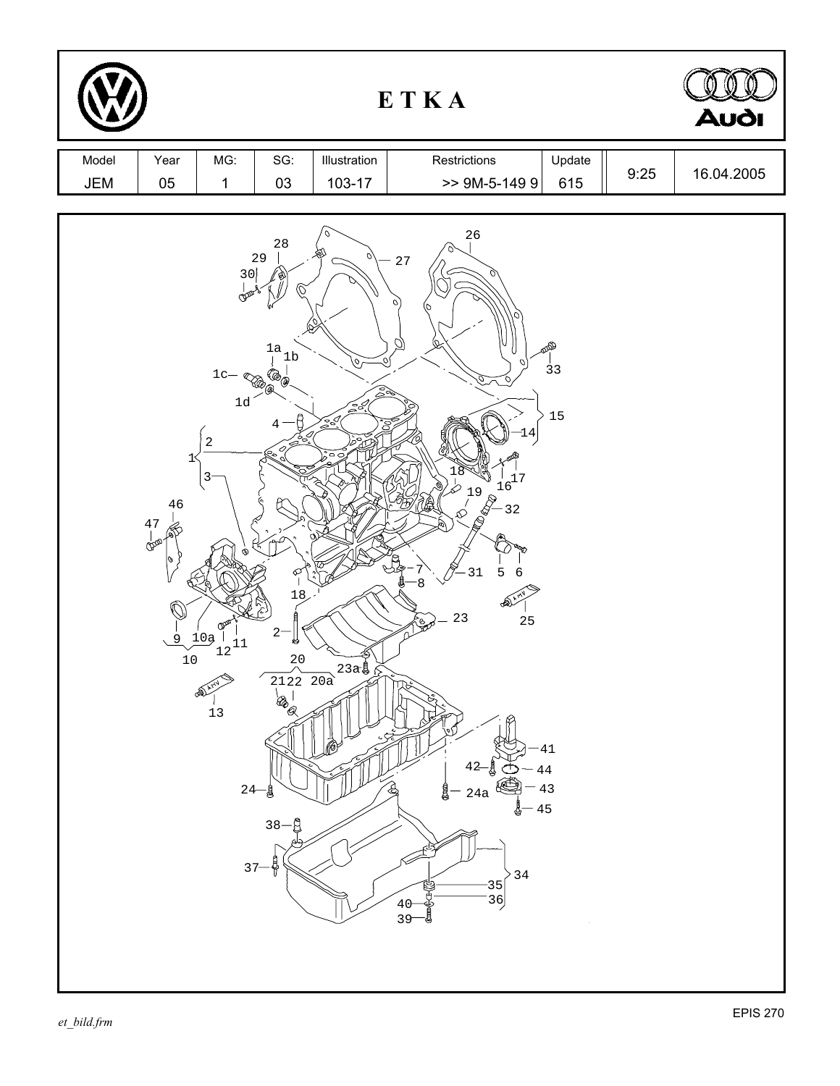|              |                                                |                                                                                                  |                                                                                                                                               |                                                                                                | ETKA                                                                                                                                                                                                                                                                                                                                          |      | <b>Audi</b> |
|--------------|------------------------------------------------|--------------------------------------------------------------------------------------------------|-----------------------------------------------------------------------------------------------------------------------------------------------|------------------------------------------------------------------------------------------------|-----------------------------------------------------------------------------------------------------------------------------------------------------------------------------------------------------------------------------------------------------------------------------------------------------------------------------------------------|------|-------------|
| Model<br>JEM | Year<br>$05\,$                                 | MG:<br>$\mathbf 1$                                                                               | SG:<br>03                                                                                                                                     | Illustration<br>$103 - 17$                                                                     | Restrictions<br>Update<br>$>$ 9M-5-149 9<br>615                                                                                                                                                                                                                                                                                               | 9:25 | 16.04.2005  |
|              | $1<$<br>46<br>$\frac{47}{9}$<br>0<br>9<br>$10$ | 30<br>ന്ത്<br>$1c-$<br>$1d$<br>$\sqrt{2}$<br>3<br>റ∕്<br>10a<br>$\frac{1}{12}$<br>$13$<br>$37 -$ | $2\sqrt{8}$<br>29<br>$\frac{1a}{1b}$<br>$\mathbb{Z}_{\mathbb{Z}_7}$<br>4<br>201<br>⊄<br>18<br>$2-$<br>钧<br>$20\,$<br>$24 - 8$<br>$38 -$<br>.A | Q)<br>$\varphi$<br>Bà<br>$\sum_{j=0}^{n-1}$<br>Ş<br>$\circ$<br>$2122220a$<br>$a$<br>$a$<br>$a$ | 26<br>27<br>$\sigma$<br>10<br>Ø,<br><b>BAD</b><br>,०∫<br>$\overline{3}3$<br>15<br>4<br>$\frac{1}{6}$<br>୪<br>$\frac{1}{6}$<br>$\frac{1}{6}$<br>$\frac{1}{6}$<br>$19$<br>$(8)$<br>31<br>5<br>6<br>Ļ<br>8<br>SS)<br>23<br>25<br>41<br>44<br>43<br>24a<br>45<br>$3\,4$<br>$\begin{bmatrix} 35 \\ 36 \end{bmatrix}$<br>40<br>i<br>Gibeo<br>$39 -$ |      |             |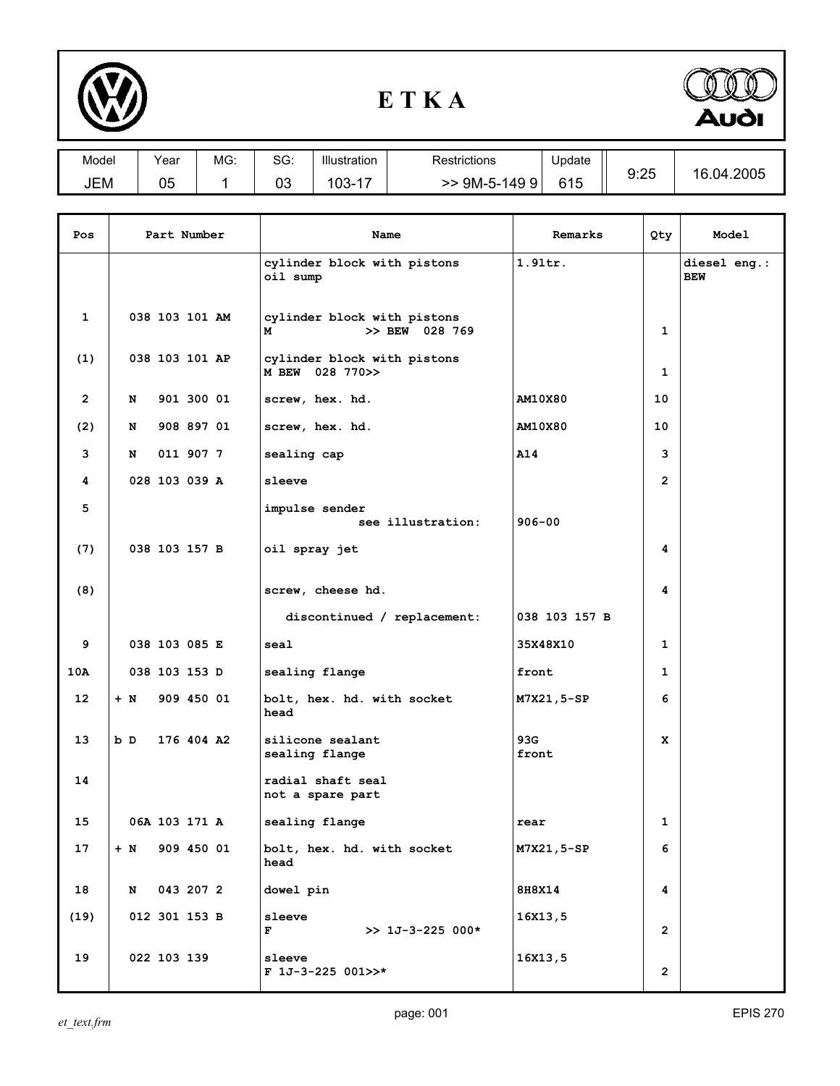

## **E T K A**



| Model | Year | MG: | $\sim$<br>ას: | Illustration                        | Restrictions        | Update |      | .2005<br>16<br>04 |
|-------|------|-----|---------------|-------------------------------------|---------------------|--------|------|-------------------|
| JEM   | 05   |     | 03            | $\overline{\phantom{a}}$<br>$103 -$ | 149<br>$9M-5-$<br>9 | 615    | 9:25 |                   |

| Pos            | Part Number |                | Name       | Remarks                                            | Qty            | Model          |                            |
|----------------|-------------|----------------|------------|----------------------------------------------------|----------------|----------------|----------------------------|
|                |             |                |            | cylinder block with pistons<br>oil sump            | $1.91$ tr.     |                | diesel eng.:<br><b>BEW</b> |
| 1              |             | 038 103 101 AM |            | cylinder block with pistons<br>>> BEW 028 769<br>М |                | 1              |                            |
| (1)            |             | 038 103 101 AP |            | cylinder block with pistons<br>M BEW 028 770>>     |                | 1              |                            |
| $\overline{2}$ | N           |                | 901 300 01 | screw, hex. hd.                                    | <b>AM10X80</b> | 10             |                            |
| (2)            | N           |                | 908 897 01 | screw, hex. hd.                                    | AM10X80        | 10             |                            |
| 3              | N           |                | 011 907 7  | sealing cap                                        | A14            | 3              |                            |
| 4              |             | 028 103 039 A  |            | sleeve                                             |                | $\overline{2}$ |                            |
| 5              |             |                |            | impulse sender<br>see illustration:                | $906 - 00$     |                |                            |
| (7)            |             | 038 103 157 B  |            | oil spray jet                                      |                | 4              |                            |
| (8)            |             |                |            | screw, cheese hd.                                  |                | 4              |                            |
|                |             |                |            | discontinued / replacement:                        | 038 103 157 B  |                |                            |
| 9              |             | 038 103 085 E  |            | seal                                               | 35X48X10       | 1              |                            |
| 10A            |             | 038 103 153 D  |            | sealing flange                                     | front          | 1              |                            |
| 12             | $+ N$       |                | 909 450 01 | bolt, hex. hd. with socket<br>head                 | M7X21,5-SP     | 6              |                            |
| 13             | b D         | 176 404 A2     |            | silicone sealant<br>sealing flange                 | 93G<br>front   | x              |                            |
| 14             |             |                |            | radial shaft seal<br>not a spare part              |                |                |                            |
| 15             |             | 06A 103 171 A  |            | sealing flange                                     | rear           | 1              |                            |
| 17             | $+$ N       | 909 450 01     |            | bolt, hex. hd. with socket<br>head                 | M7X21,5-SP     | 6              |                            |
| 18             | N           | 043 207 2      |            | dowel pin                                          | 8H8X14         | 4              |                            |
| (19)           |             | 012 301 153 B  |            | sleeve<br>F<br>$>> 1J-3-225 000*$                  | 16x13,5        | $\overline{2}$ |                            |
| 19             |             | 022 103 139    |            | sleeve<br>$F$ 1J-3-225 001>>*                      | 16x13,5        | $\overline{2}$ |                            |